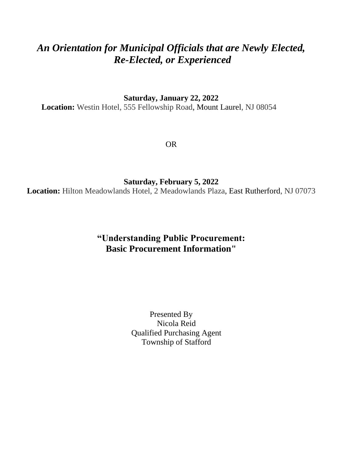# *An Orientation for Municipal Officials that are Newly Elected, Re-Elected, or Experienced*

**Saturday, January 22, 2022**

**Location:** Westin Hotel, 555 Fellowship Road, Mount Laurel, NJ 08054

OR

**Saturday, February 5, 2022**

**Location:** Hilton Meadowlands Hotel, 2 Meadowlands Plaza, East Rutherford, NJ 07073

# **"Understanding Public Procurement: Basic Procurement Information"**

Presented By Nicola Reid Qualified Purchasing Agent Township of Stafford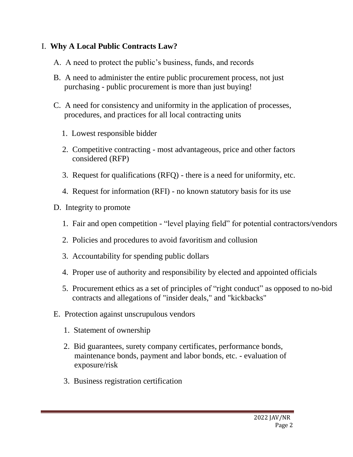#### I. **Why A Local Public Contracts Law?**

- A. A need to protect the public's business, funds, and records
- B. A need to administer the entire public procurement process, not just purchasing - public procurement is more than just buying!
- C. A need for consistency and uniformity in the application of processes, procedures, and practices for all local contracting units
	- 1. Lowest responsible bidder
	- 2. Competitive contracting most advantageous, price and other factors considered (RFP)
	- 3. Request for qualifications (RFQ) there is a need for uniformity, etc.
	- 4. Request for information (RFI) no known statutory basis for its use
- D. Integrity to promote
	- 1. Fair and open competition "level playing field" for potential contractors/vendors
	- 2. Policies and procedures to avoid favoritism and collusion
	- 3. Accountability for spending public dollars
	- 4. Proper use of authority and responsibility by elected and appointed officials
	- 5. Procurement ethics as a set of principles of "right conduct" as opposed to no-bid contracts and allegations of "insider deals," and "kickbacks"
- E. Protection against unscrupulous vendors
	- 1. Statement of ownership
	- 2. Bid guarantees, surety company certificates, performance bonds, maintenance bonds, payment and labor bonds, etc. - evaluation of exposure/risk
	- 3. Business registration certification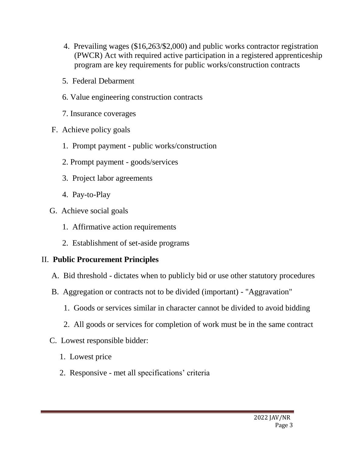- 4. Prevailing wages (\$16,263/\$2,000) and public works contractor registration (PWCR) Act with required active participation in a registered apprenticeship program are key requirements for public works/construction contracts
- 5. Federal Debarment
- 6. Value engineering construction contracts
- 7. Insurance coverages
- F. Achieve policy goals
	- 1. Prompt payment public works/construction
	- 2. Prompt payment goods/services
	- 3. Project labor agreements
	- 4. Pay-to-Play
- G. Achieve social goals
	- 1. Affirmative action requirements
	- 2. Establishment of set-aside programs

# II. **Public Procurement Principles**

- A. Bid threshold dictates when to publicly bid or use other statutory procedures
- B. Aggregation or contracts not to be divided (important) "Aggravation"
	- 1. Goods or services similar in character cannot be divided to avoid bidding
	- 2. All goods or services for completion of work must be in the same contract
- C. Lowest responsible bidder:
	- 1. Lowest price
	- 2. Responsive met all specifications' criteria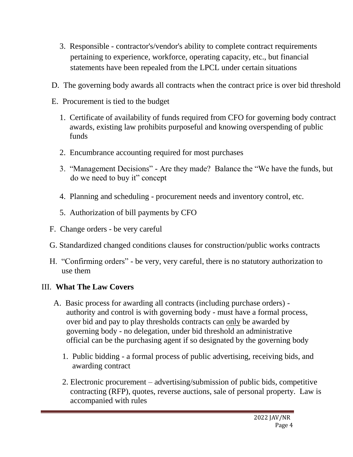- 3. Responsible contractor's/vendor's ability to complete contract requirements pertaining to experience, workforce, operating capacity, etc., but financial statements have been repealed from the LPCL under certain situations
- D. The governing body awards all contracts when the contract price is over bid threshold
- E. Procurement is tied to the budget
	- 1. Certificate of availability of funds required from CFO for governing body contract awards, existing law prohibits purposeful and knowing overspending of public funds
	- 2. Encumbrance accounting required for most purchases
	- 3. "Management Decisions" Are they made? Balance the "We have the funds, but do we need to buy it" concept
	- 4. Planning and scheduling procurement needs and inventory control, etc.
	- 5. Authorization of bill payments by CFO
- F. Change orders be very careful
- G. Standardized changed conditions clauses for construction/public works contracts
- H. "Confirming orders" be very, very careful, there is no statutory authorization to use them

# III. **What The Law Covers**

- A. Basic process for awarding all contracts (including purchase orders) authority and control is with governing body - must have a formal process, over bid and pay to play thresholds contracts can only be awarded by governing body - no delegation, under bid threshold an administrative official can be the purchasing agent if so designated by the governing body
	- 1. Public bidding a formal process of public advertising, receiving bids, and awarding contract
	- 2. Electronic procurement advertising/submission of public bids, competitive contracting (RFP), quotes, reverse auctions, sale of personal property. Law is accompanied with rules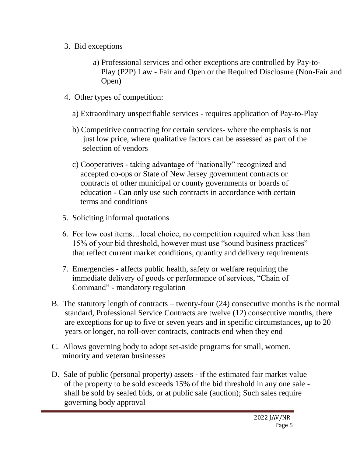- 3. Bid exceptions
	- a) Professional services and other exceptions are controlled by Pay-to- Play (P2P) Law - Fair and Open or the Required Disclosure (Non-Fair and Open)
- 4. Other types of competition:
	- a) Extraordinary unspecifiable services requires application of Pay-to-Play
	- b) Competitive contracting for certain services- where the emphasis is not just low price, where qualitative factors can be assessed as part of the selection of vendors
	- c) Cooperatives taking advantage of "nationally" recognized and accepted co-ops or State of New Jersey government contracts or contracts of other municipal or county governments or boards of education - Can only use such contracts in accordance with certain terms and conditions
- 5. Soliciting informal quotations
- 6. For low cost items…local choice, no competition required when less than 15% of your bid threshold, however must use "sound business practices" that reflect current market conditions, quantity and delivery requirements
- 7. Emergencies affects public health, safety or welfare requiring the immediate delivery of goods or performance of services, "Chain of Command" - mandatory regulation
- B. The statutory length of contracts twenty-four (24) consecutive months is the normal standard, Professional Service Contracts are twelve (12) consecutive months, there are exceptions for up to five or seven years and in specific circumstances, up to 20 years or longer, no roll-over contracts, contracts end when they end
- C. Allows governing body to adopt set-aside programs for small, women, minority and veteran businesses
- D. Sale of public (personal property) assets if the estimated fair market value of the property to be sold exceeds 15% of the bid threshold in any one sale shall be sold by sealed bids, or at public sale (auction); Such sales require governing body approval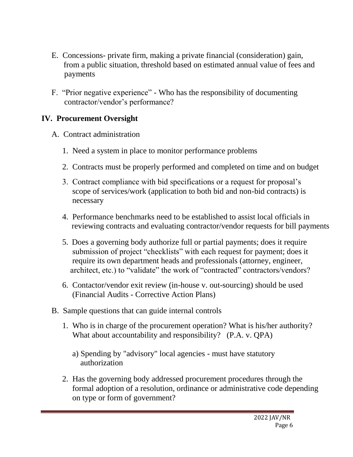- E. Concessions- private firm, making a private financial (consideration) gain, from a public situation, threshold based on estimated annual value of fees and payments
- F. "Prior negative experience" Who has the responsibility of documenting contractor/vendor's performance?

### **IV. Procurement Oversight**

- A. Contract administration
	- 1. Need a system in place to monitor performance problems
	- 2. Contracts must be properly performed and completed on time and on budget
	- 3. Contract compliance with bid specifications or a request for proposal's scope of services/work (application to both bid and non-bid contracts) is necessary
	- 4. Performance benchmarks need to be established to assist local officials in reviewing contracts and evaluating contractor/vendor requests for bill payments
	- 5. Does a governing body authorize full or partial payments; does it require submission of project "checklists" with each request for payment; does it require its own department heads and professionals (attorney, engineer, architect, etc.) to "validate" the work of "contracted" contractors/vendors?
	- 6. Contactor/vendor exit review (in-house v. out-sourcing) should be used (Financial Audits - Corrective Action Plans)
- B. Sample questions that can guide internal controls
	- 1. Who is in charge of the procurement operation? What is his/her authority? What about accountability and responsibility? (P.A. v. QPA)
		- a) Spending by "advisory" local agencies must have statutory authorization
	- 2. Has the governing body addressed procurement procedures through the formal adoption of a resolution, ordinance or administrative code depending on type or form of government?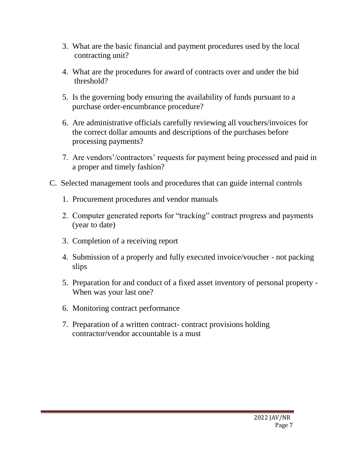- 3. What are the basic financial and payment procedures used by the local contracting unit?
- 4. What are the procedures for award of contracts over and under the bid threshold?
- 5. Is the governing body ensuring the availability of funds pursuant to a purchase order-encumbrance procedure?
- 6. Are administrative officials carefully reviewing all vouchers/invoices for the correct dollar amounts and descriptions of the purchases before processing payments?
- 7. Are vendors'/contractors' requests for payment being processed and paid in a proper and timely fashion?
- C. Selected management tools and procedures that can guide internal controls
	- 1. Procurement procedures and vendor manuals
	- 2. Computer generated reports for "tracking" contract progress and payments (year to date)
	- 3. Completion of a receiving report
	- 4. Submission of a properly and fully executed invoice/voucher not packing slips
	- 5. Preparation for and conduct of a fixed asset inventory of personal property When was your last one?
	- 6. Monitoring contract performance
	- 7. Preparation of a written contract- contract provisions holding contractor/vendor accountable is a must